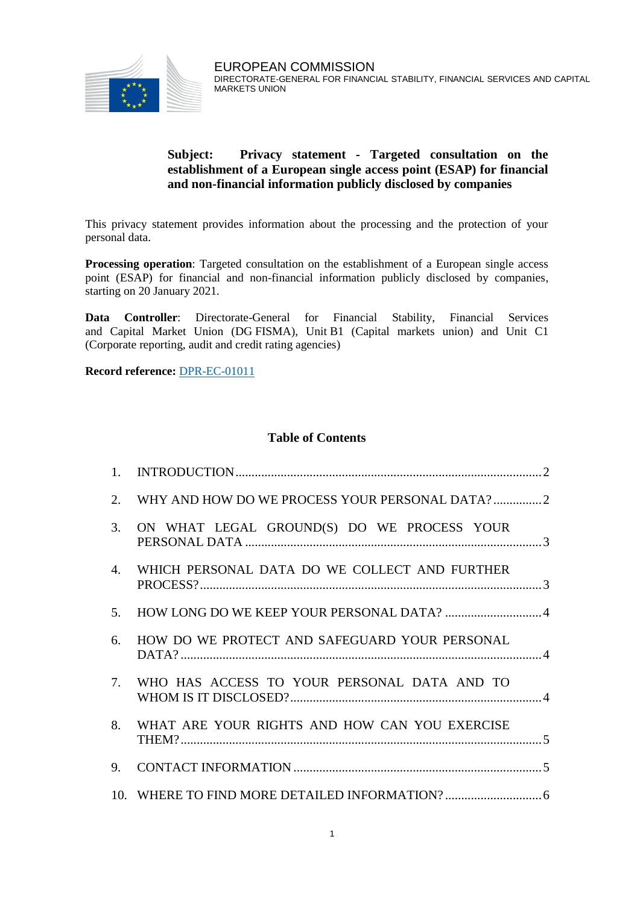

# **Subject: Privacy statement - Targeted consultation on the establishment of a European single access point (ESAP) for financial and non-financial information publicly disclosed by companies**

This privacy statement provides information about the processing and the protection of your personal data.

**Processing operation**: Targeted consultation on the establishment of a European single access point (ESAP) for financial and non-financial information publicly disclosed by companies, starting on 20 January 2021.

**Data Controller**: Directorate-General for Financial Stability, Financial Services and Capital Market Union (DG FISMA), Unit B1 (Capital markets union) and Unit C1 (Corporate reporting, audit and credit rating agencies)

**Record reference:** [DPR-EC-01011](https://ec.europa.eu/dpo-register/detail/DPR-EC-01011)

## **Table of Contents**

| $1_{\cdot}$ |                                                |
|-------------|------------------------------------------------|
| 2.          | WHY AND HOW DO WE PROCESS YOUR PERSONAL DATA?2 |
| 3.          | ON WHAT LEGAL GROUND(S) DO WE PROCESS YOUR     |
| 4.          | WHICH PERSONAL DATA DO WE COLLECT AND FURTHER  |
| 5.          |                                                |
| 6.          | HOW DO WE PROTECT AND SAFEGUARD YOUR PERSONAL  |
| 7.          | WHO HAS ACCESS TO YOUR PERSONAL DATA AND TO    |
| 8.          | WHAT ARE YOUR RIGHTS AND HOW CAN YOU EXERCISE  |
| 9.          |                                                |
|             |                                                |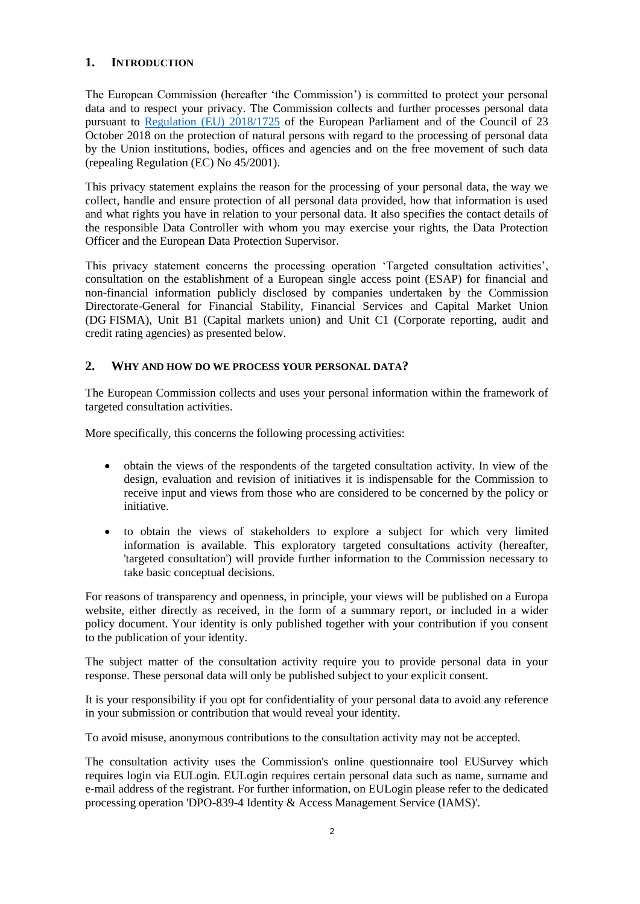# <span id="page-1-0"></span>**1. INTRODUCTION**

The European Commission (hereafter 'the Commission') is committed to protect your personal data and to respect your privacy. The Commission collects and further processes personal data pursuant to [Regulation \(EU\) 2018/1725](https://eur-lex.europa.eu/legal-content/EN/TXT/?uri=uriserv:OJ.L_.2018.295.01.0039.01.ENG&toc=OJ:L:2018:295:TOC) of the European Parliament and of the Council of 23 October 2018 on the protection of natural persons with regard to the processing of personal data by the Union institutions, bodies, offices and agencies and on the free movement of such data (repealing Regulation (EC) No 45/2001).

This privacy statement explains the reason for the processing of your personal data, the way we collect, handle and ensure protection of all personal data provided, how that information is used and what rights you have in relation to your personal data. It also specifies the contact details of the responsible Data Controller with whom you may exercise your rights, the Data Protection Officer and the European Data Protection Supervisor.

This privacy statement concerns the processing operation 'Targeted consultation activities', consultation on the establishment of a European single access point (ESAP) for financial and non-financial information publicly disclosed by companies undertaken by the Commission Directorate-General for Financial Stability, Financial Services and Capital Market Union (DG FISMA), Unit B1 (Capital markets union) and Unit C1 (Corporate reporting, audit and credit rating agencies) as presented below.

## <span id="page-1-1"></span>**2. WHY AND HOW DO WE PROCESS YOUR PERSONAL DATA?**

The European Commission collects and uses your personal information within the framework of targeted consultation activities.

More specifically, this concerns the following processing activities:

- obtain the views of the respondents of the targeted consultation activity. In view of the design, evaluation and revision of initiatives it is indispensable for the Commission to receive input and views from those who are considered to be concerned by the policy or initiative.
- to obtain the views of stakeholders to explore a subject for which very limited information is available. This exploratory targeted consultations activity (hereafter, 'targeted consultation') will provide further information to the Commission necessary to take basic conceptual decisions.

For reasons of transparency and openness, in principle, your views will be published on a Europa website, either directly as received, in the form of a summary report, or included in a wider policy document. Your identity is only published together with your contribution if you consent to the publication of your identity.

The subject matter of the consultation activity require you to provide personal data in your response. These personal data will only be published subject to your explicit consent.

It is your responsibility if you opt for confidentiality of your personal data to avoid any reference in your submission or contribution that would reveal your identity.

To avoid misuse, anonymous contributions to the consultation activity may not be accepted.

The consultation activity uses the Commission's online questionnaire tool EUSurvey which requires login via EULogin. EULogin requires certain personal data such as name, surname and e-mail address of the registrant. For further information, on EULogin please refer to the dedicated processing operation 'DPO-839-4 Identity & Access Management Service (IAMS)'.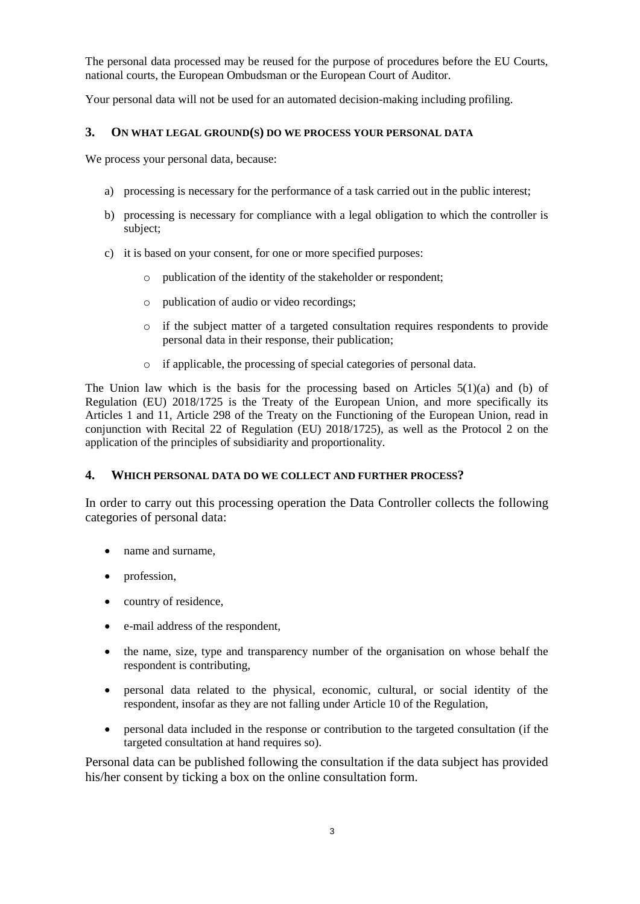The personal data processed may be reused for the purpose of procedures before the EU Courts, national courts, the European Ombudsman or the European Court of Auditor.

Your personal data will not be used for an automated decision-making including profiling.

### <span id="page-2-0"></span>**3. ON WHAT LEGAL GROUND(S) DO WE PROCESS YOUR PERSONAL DATA**

We process your personal data, because:

- a) processing is necessary for the performance of a task carried out in the public interest;
- b) processing is necessary for compliance with a legal obligation to which the controller is subject;
- c) it is based on your consent, for one or more specified purposes:
	- o publication of the identity of the stakeholder or respondent;
	- o publication of audio or video recordings;
	- o if the subject matter of a targeted consultation requires respondents to provide personal data in their response, their publication;
	- o if applicable, the processing of special categories of personal data.

The Union law which is the basis for the processing based on Articles  $5(1)(a)$  and (b) of Regulation (EU) 2018/1725 is the Treaty of the European Union, and more specifically its Articles 1 and 11, Article 298 of the Treaty on the Functioning of the European Union, read in conjunction with Recital 22 of Regulation (EU) 2018/1725), as well as the Protocol 2 on the application of the principles of subsidiarity and proportionality.

### <span id="page-2-1"></span>**4. WHICH PERSONAL DATA DO WE COLLECT AND FURTHER PROCESS?**

In order to carry out this processing operation the Data Controller collects the following categories of personal data:

- name and surname,
- profession,
- country of residence,
- e-mail address of the respondent,
- the name, size, type and transparency number of the organisation on whose behalf the respondent is contributing,
- personal data related to the physical, economic, cultural, or social identity of the respondent, insofar as they are not falling under Article 10 of the Regulation,
- personal data included in the response or contribution to the targeted consultation (if the targeted consultation at hand requires so).

Personal data can be published following the consultation if the data subject has provided his/her consent by ticking a box on the online consultation form.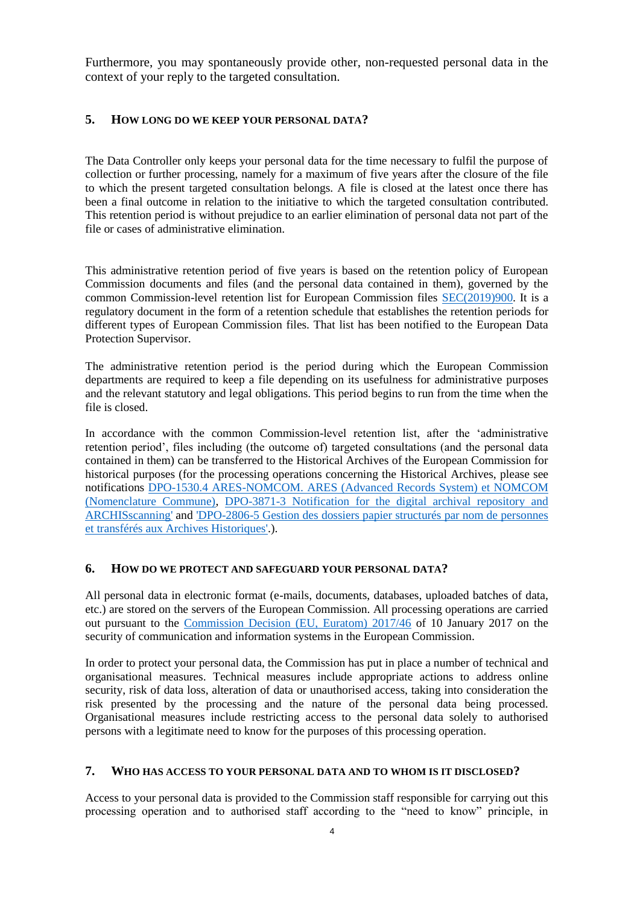Furthermore, you may spontaneously provide other, non-requested personal data in the context of your reply to the targeted consultation.

#### <span id="page-3-0"></span>**5. HOW LONG DO WE KEEP YOUR PERSONAL DATA?**

The Data Controller only keeps your personal data for the time necessary to fulfil the purpose of collection or further processing, namely for a maximum of five years after the closure of the file to which the present targeted consultation belongs. A file is closed at the latest once there has been a final outcome in relation to the initiative to which the targeted consultation contributed. This retention period is without prejudice to an earlier elimination of personal data not part of the file or cases of administrative elimination.

This administrative retention period of five years is based on the retention policy of European Commission documents and files (and the personal data contained in them), governed by the common Commission-level retention list for European Commission files [SEC\(2019\)900.](http://ec.europa.eu/transparency/regdoc/index.cfm?fuseaction=list&n=10&adv=0&coteId=2&year=2019&number=900&dateFrom=&dateTo=&serviceId=&documentType=&title=&titleLanguage=&titleSearch=EXACT&sortBy=NUMBER&sortOrder=DESC) It is a regulatory document in the form of a retention schedule that establishes the retention periods for different types of European Commission files. That list has been notified to the European Data Protection Supervisor.

The administrative retention period is the period during which the European Commission departments are required to keep a file depending on its usefulness for administrative purposes and the relevant statutory and legal obligations. This period begins to run from the time when the file is closed.

In accordance with the common Commission-level retention list, after the 'administrative retention period', files including (the outcome of) targeted consultations (and the personal data contained in them) can be transferred to the Historical Archives of the European Commission for historical purposes (for the processing operations concerning the Historical Archives, please see notifications [DPO-1530.4 ARES-NOMCOM. ARES \(Advanced Records System\) et NOMCOM](http://ec.europa.eu/dpo-register/detail/DPO-1530-5)  [\(Nomenclature Commune\),](http://ec.europa.eu/dpo-register/detail/DPO-1530-5) [DPO-3871-3 Notification for the digital archival repository and](http://ec.europa.eu/dpo-register/detail/DPO-3871-3)  [ARCHISscanning'](http://ec.europa.eu/dpo-register/detail/DPO-3871-3) and ['DPO-2806-5 Gestion des dossiers papier structurés par nom de personnes](http://ec.europa.eu/dpo-register/detail/DPO-2806-5)  [et transférés aux Archives Historiques'.](http://ec.europa.eu/dpo-register/detail/DPO-2806-5)).

### <span id="page-3-1"></span>**6. HOW DO WE PROTECT AND SAFEGUARD YOUR PERSONAL DATA?**

All personal data in electronic format (e-mails, documents, databases, uploaded batches of data, etc.) are stored on the servers of the European Commission. All processing operations are carried out pursuant to the [Commission Decision \(EU, Euratom\) 2017/46](https://eur-lex.europa.eu/legal-content/EN/TXT/?qid=1548093747090&uri=CELEX:32017D0046) of 10 January 2017 on the security of communication and information systems in the European Commission.

In order to protect your personal data, the Commission has put in place a number of technical and organisational measures. Technical measures include appropriate actions to address online security, risk of data loss, alteration of data or unauthorised access, taking into consideration the risk presented by the processing and the nature of the personal data being processed. Organisational measures include restricting access to the personal data solely to authorised persons with a legitimate need to know for the purposes of this processing operation.

### <span id="page-3-2"></span>**7. WHO HAS ACCESS TO YOUR PERSONAL DATA AND TO WHOM IS IT DISCLOSED?**

Access to your personal data is provided to the Commission staff responsible for carrying out this processing operation and to authorised staff according to the "need to know" principle, in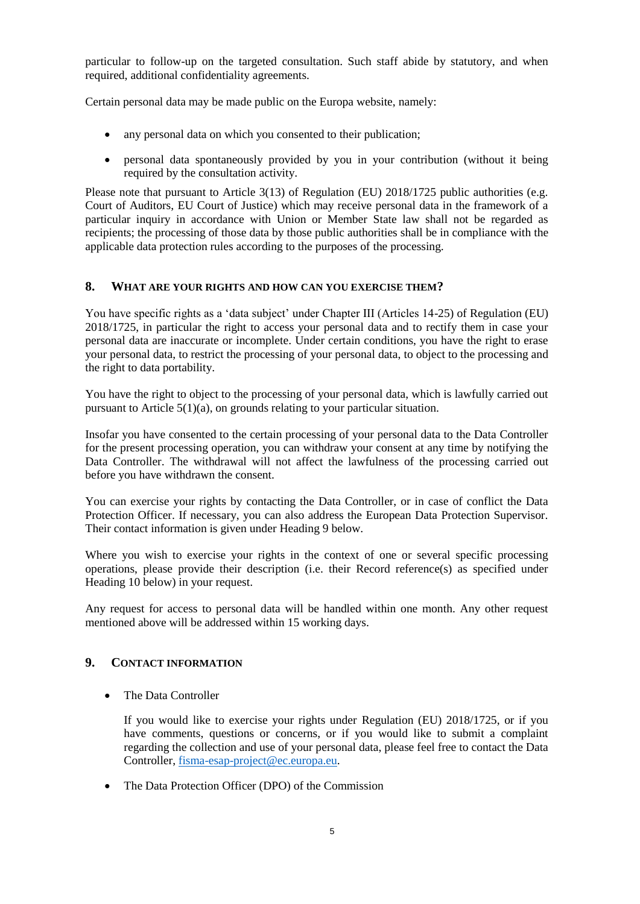particular to follow-up on the targeted consultation. Such staff abide by statutory, and when required, additional confidentiality agreements.

Certain personal data may be made public on the Europa website, namely:

- any personal data on which you consented to their publication;
- personal data spontaneously provided by you in your contribution (without it being required by the consultation activity.

Please note that pursuant to Article 3(13) of Regulation (EU) 2018/1725 public authorities (e.g. Court of Auditors, EU Court of Justice) which may receive personal data in the framework of a particular inquiry in accordance with Union or Member State law shall not be regarded as recipients; the processing of those data by those public authorities shall be in compliance with the applicable data protection rules according to the purposes of the processing.

## <span id="page-4-0"></span>**8. WHAT ARE YOUR RIGHTS AND HOW CAN YOU EXERCISE THEM?**

You have specific rights as a 'data subject' under Chapter III (Articles 14-25) of Regulation (EU) 2018/1725, in particular the right to access your personal data and to rectify them in case your personal data are inaccurate or incomplete. Under certain conditions, you have the right to erase your personal data, to restrict the processing of your personal data, to object to the processing and the right to data portability.

You have the right to object to the processing of your personal data, which is lawfully carried out pursuant to Article  $5(1)(a)$ , on grounds relating to your particular situation.

Insofar you have consented to the certain processing of your personal data to the Data Controller for the present processing operation, you can withdraw your consent at any time by notifying the Data Controller. The withdrawal will not affect the lawfulness of the processing carried out before you have withdrawn the consent.

You can exercise your rights by contacting the Data Controller, or in case of conflict the Data Protection Officer. If necessary, you can also address the European Data Protection Supervisor. Their contact information is given under Heading 9 below.

Where you wish to exercise your rights in the context of one or several specific processing operations, please provide their description (i.e. their Record reference(s) as specified under Heading 10 below) in your request.

Any request for access to personal data will be handled within one month. Any other request mentioned above will be addressed within 15 working days.

## <span id="page-4-1"></span>**9. CONTACT INFORMATION**

The Data Controller

If you would like to exercise your rights under Regulation (EU) 2018/1725, or if you have comments, questions or concerns, or if you would like to submit a complaint regarding the collection and use of your personal data, please feel free to contact the Data Controller, [fisma-esap-project@ec.europa.eu.](mailto:fisma-esap-project@ec.europa.eu)

• The Data Protection Officer (DPO) of the Commission